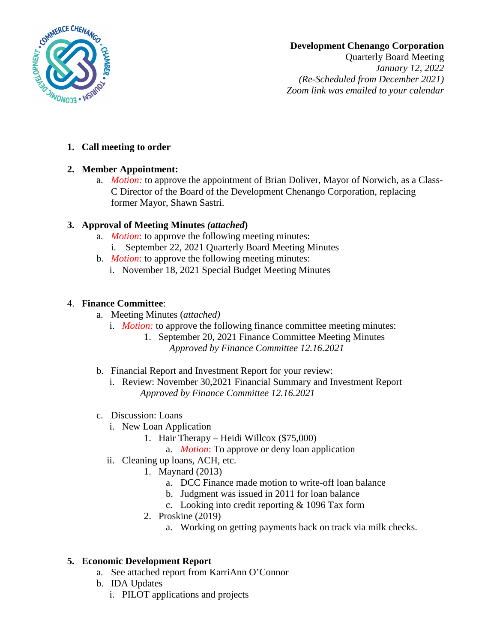

# **Development Chenango Corporation**

Quarterly Board Meeting *January 12, 2022 (Re-Scheduled from December 2021) Zoom link was emailed to your calendar*

### **1. Call meeting to order**

## **2. Member Appointment:**

a. *Motion:* to approve the appointment of Brian Doliver, Mayor of Norwich, as a Class-C Director of the Board of the Development Chenango Corporation, replacing former Mayor, Shawn Sastri.

## **3. Approval of Meeting Minutes** *(attached***)**

- a. *Motion*: to approve the following meeting minutes:
	- i. September 22, 2021 Quarterly Board Meeting Minutes
- b. *Motion*: to approve the following meeting minutes:
	- i. November 18, 2021 Special Budget Meeting Minutes

## 4. **Finance Committee**:

- a. Meeting Minutes (*attached)*
	- i. *Motion:* to approve the following finance committee meeting minutes:
		- 1. September 20, 2021 Finance Committee Meeting Minutes *Approved by Finance Committee 12.16.2021*
- b. Financial Report and Investment Report for your review:
	- i. Review: November 30,2021 Financial Summary and Investment Report *Approved by Finance Committee 12.16.2021*
- c. Discussion: Loans
	- i. New Loan Application
		- 1. Hair Therapy Heidi Willcox (\$75,000)
			- a. *Motion*: To approve or deny loan application
	- ii. Cleaning up loans, ACH, etc.
		- 1. Maynard (2013)
			- a. DCC Finance made motion to write-off loan balance
			- b. Judgment was issued in 2011 for loan balance
			- c. Looking into credit reporting & 1096 Tax form
		- 2. Proskine (2019)
			- a. Working on getting payments back on track via milk checks.

## **5. Economic Development Report**

- a. See attached report from KarriAnn O'Connor
- b. IDA Updates
	- i. PILOT applications and projects